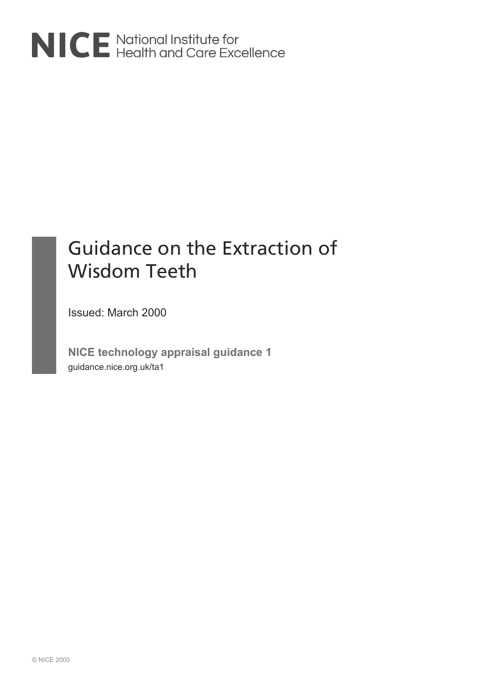

# Guidance on the Extraction of Wisdom Teeth

Issued: March 2000

**NICE technology appraisal guidance 1** guidance.nice.org.uk/ta1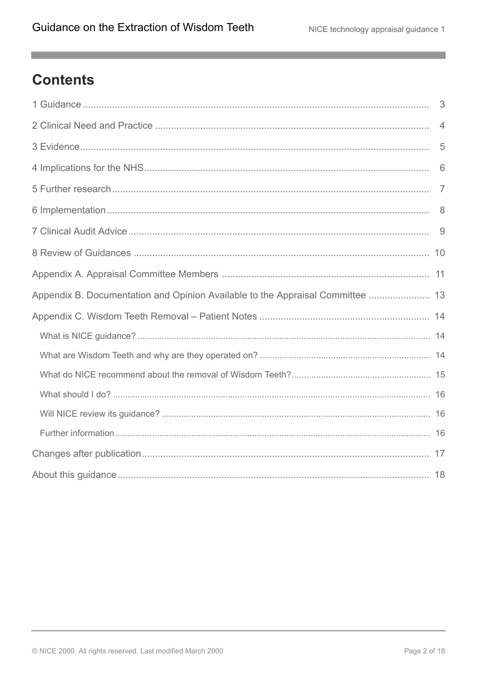m.

# **Contents**

|                                                                                | $\overline{4}$ |
|--------------------------------------------------------------------------------|----------------|
|                                                                                | 5              |
|                                                                                | 6              |
|                                                                                |                |
|                                                                                |                |
|                                                                                |                |
|                                                                                |                |
|                                                                                |                |
| Appendix B. Documentation and Opinion Available to the Appraisal Committee  13 |                |
|                                                                                |                |
|                                                                                |                |
|                                                                                |                |
|                                                                                |                |
|                                                                                |                |
|                                                                                |                |
|                                                                                |                |
|                                                                                |                |
|                                                                                |                |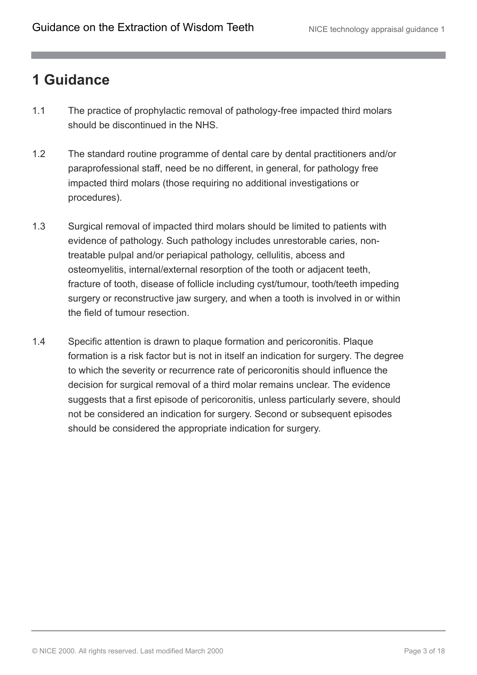# <span id="page-2-0"></span>**1 Guidance**

- 1.1 The practice of prophylactic removal of pathology-free impacted third molars should be discontinued in the NHS.
- 1.2 The standard routine programme of dental care by dental practitioners and/or paraprofessional staff, need be no different, in general, for pathology free impacted third molars (those requiring no additional investigations or procedures).
- 1.3 Surgical removal of impacted third molars should be limited to patients with evidence of pathology. Such pathology includes unrestorable caries, nontreatable pulpal and/or periapical pathology, cellulitis, abcess and osteomyelitis, internal/external resorption of the tooth or adjacent teeth, fracture of tooth, disease of follicle including cyst/tumour, tooth/teeth impeding surgery or reconstructive jaw surgery, and when a tooth is involved in or within the field of tumour resection.
- 1.4 Specific attention is drawn to plaque formation and pericoronitis. Plaque formation is a risk factor but is not in itself an indication for surgery. The degree to which the severity or recurrence rate of pericoronitis should influence the decision for surgical removal of a third molar remains unclear. The evidence suggests that a first episode of pericoronitis, unless particularly severe, should not be considered an indication for surgery. Second or subsequent episodes should be considered the appropriate indication for surgery.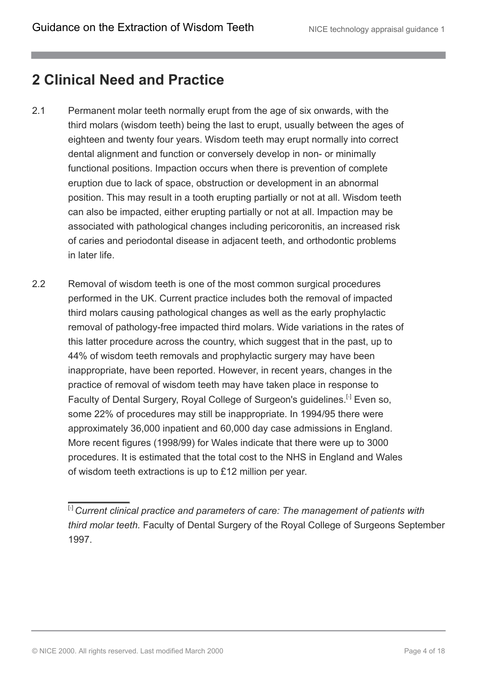### <span id="page-3-0"></span>**2 Clinical Need and Practice**

- 2.1 Permanent molar teeth normally erupt from the age of six onwards, with the third molars (wisdom teeth) being the last to erupt, usually between the ages of eighteen and twenty four years. Wisdom teeth may erupt normally into correct dental alignment and function or conversely develop in non- or minimally functional positions. Impaction occurs when there is prevention of complete eruption due to lack of space, obstruction or development in an abnormal position. This may result in a tooth erupting partially or not at all. Wisdom teeth can also be impacted, either erupting partially or not at all. Impaction may be associated with pathological changes including pericoronitis, an increased risk of caries and periodontal disease in adjacent teeth, and orthodontic problems in later life.
- <span id="page-3-2"></span>2.2 Removal of wisdom teeth is one of the most common surgical procedures performed in the UK. Current practice includes both the removal of impacted third molars causing pathological changes as well as the early prophylactic removal of pathology-free impacted third molars. Wide variations in the rates of this latter procedure across the country, which suggest that in the past, up to 44% of wisdom teeth removals and prophylactic surgery may have been inappropriate, have been reported. However, in recent years, changes in the practice of removal of wisdom teeth may have taken place in response to Faculty of Dental Surgery, Royal College of Surgeon's guidelines.<sup>[[1](#page-3-1)]</sup> Even so, some 22% of procedures may still be inappropriate. In 1994/95 there were approximately 36,000 inpatient and 60,000 day case admissions in England. More recent figures (1998/99) for Wales indicate that there were up to 3000 procedures. It is estimated that the total cost to the NHS in England and Wales of wisdom teeth extractions is up to £12 million per year.

<span id="page-3-1"></span><sup>[</sup>[1](#page-3-2)] *Current clinical practice and parameters of care: The management of patients with third molar teeth.* Faculty of Dental Surgery of the Royal College of Surgeons September 1997.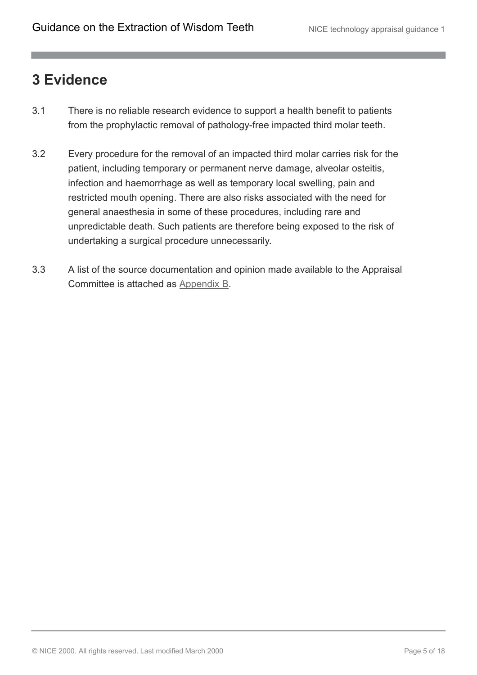### <span id="page-4-0"></span>**3 Evidence**

- 3.1 There is no reliable research evidence to support a health benefit to patients from the prophylactic removal of pathology-free impacted third molar teeth.
- 3.2 Every procedure for the removal of an impacted third molar carries risk for the patient, including temporary or permanent nerve damage, alveolar osteitis, infection and haemorrhage as well as temporary local swelling, pain and restricted mouth opening. There are also risks associated with the need for general anaesthesia in some of these procedures, including rare and unpredictable death. Such patients are therefore being exposed to the risk of undertaking a surgical procedure unnecessarily.
- 3.3 A list of the source documentation and opinion made available to the Appraisal Committee is attached as [Appendix B](http://publications.nice.org.uk/guidance-on-the-extraction-of-wisdom-teeth-ta1/appendix-b-documentation-and-opinion-available-to-the-appraisal-committee).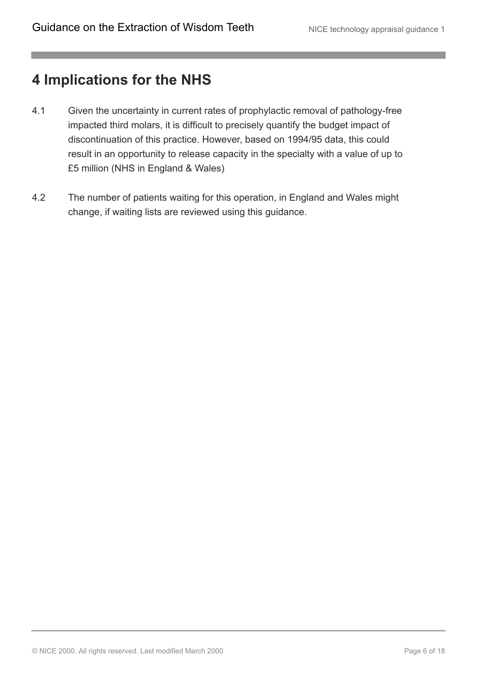### <span id="page-5-0"></span>**4 Implications for the NHS**

- 4.1 Given the uncertainty in current rates of prophylactic removal of pathology-free impacted third molars, it is difficult to precisely quantify the budget impact of discontinuation of this practice. However, based on 1994/95 data, this could result in an opportunity to release capacity in the specialty with a value of up to £5 million (NHS in England & Wales)
- 4.2 The number of patients waiting for this operation, in England and Wales might change, if waiting lists are reviewed using this guidance.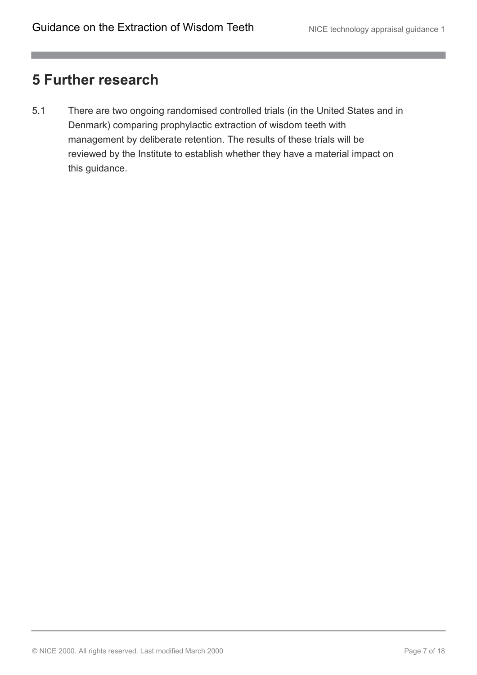### <span id="page-6-0"></span>**5 Further research**

5.1 There are two ongoing randomised controlled trials (in the United States and in Denmark) comparing prophylactic extraction of wisdom teeth with management by deliberate retention. The results of these trials will be reviewed by the Institute to establish whether they have a material impact on this guidance.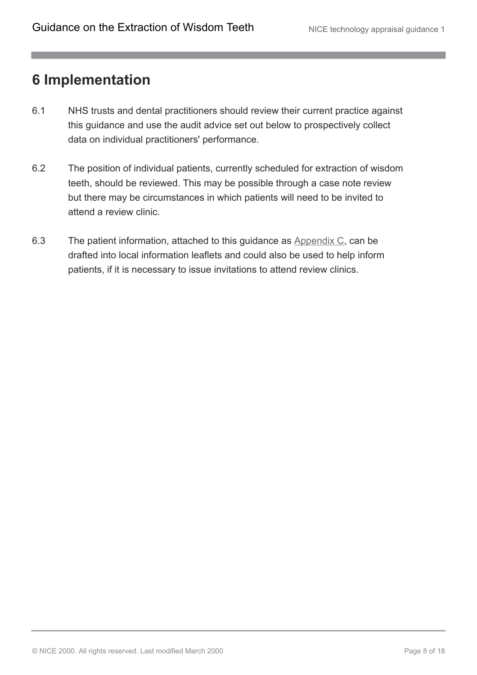### <span id="page-7-0"></span>**6 Implementation**

- 6.1 NHS trusts and dental practitioners should review their current practice against this guidance and use the audit advice set out below to prospectively collect data on individual practitioners' performance.
- 6.2 The position of individual patients, currently scheduled for extraction of wisdom teeth, should be reviewed. This may be possible through a case note review but there may be circumstances in which patients will need to be invited to attend a review clinic.
- 6.3 The patient information, attached to this guidance as [Appendix C](http://publications.nice.org.uk/guidance-on-the-extraction-of-wisdom-teeth-ta1/appendix-c-wisdom-teeth-removal-patient-notes), can be drafted into local information leaflets and could also be used to help inform patients, if it is necessary to issue invitations to attend review clinics.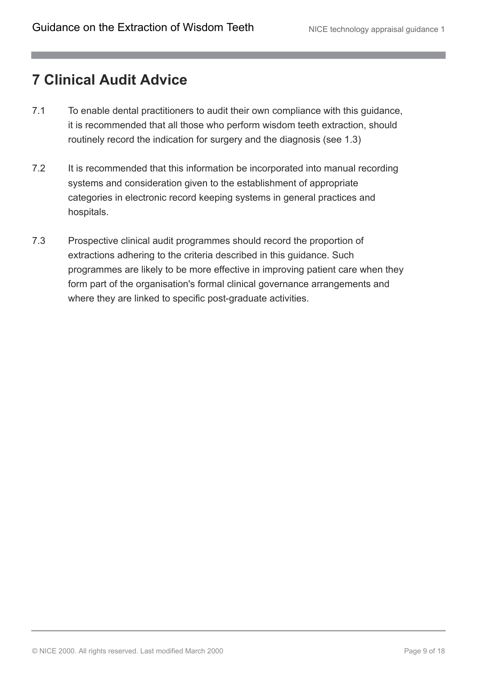### <span id="page-8-0"></span>**7 Clinical Audit Advice**

- 7.1 To enable dental practitioners to audit their own compliance with this guidance, it is recommended that all those who perform wisdom teeth extraction, should routinely record the indication for surgery and the diagnosis (see 1.3)
- 7.2 It is recommended that this information be incorporated into manual recording systems and consideration given to the establishment of appropriate categories in electronic record keeping systems in general practices and hospitals.
- 7.3 Prospective clinical audit programmes should record the proportion of extractions adhering to the criteria described in this guidance. Such programmes are likely to be more effective in improving patient care when they form part of the organisation's formal clinical governance arrangements and where they are linked to specific post-graduate activities.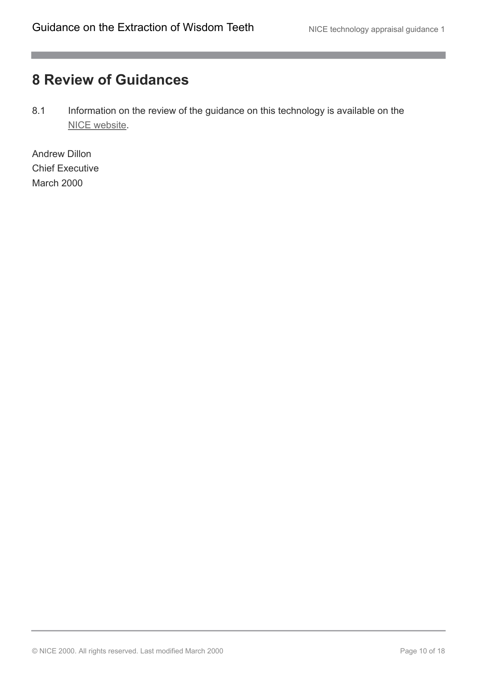m.

# <span id="page-9-0"></span>**8 Review of Guidances**

8.1 Information on the review of the guidance on this technology is available on the [NICE website.](http://guidance.nice.org.uk/TA1)

Andrew Dillon Chief Executive March 2000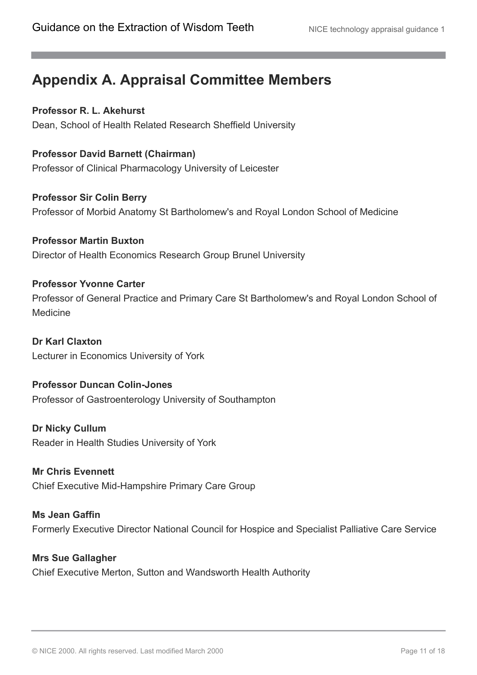# <span id="page-10-0"></span>**Appendix A. Appraisal Committee Members**

**Professor R. L. Akehurst** Dean, School of Health Related Research Sheffield University

**Professor David Barnett (Chairman)** Professor of Clinical Pharmacology University of Leicester

**Professor Sir Colin Berry** Professor of Morbid Anatomy St Bartholomew's and Royal London School of Medicine

**Professor Martin Buxton** Director of Health Economics Research Group Brunel University

#### **Professor Yvonne Carter**

Professor of General Practice and Primary Care St Bartholomew's and Royal London School of Medicine

**Dr Karl Claxton** Lecturer in Economics University of York

**Professor Duncan Colin-Jones** Professor of Gastroenterology University of Southampton

**Dr Nicky Cullum** Reader in Health Studies University of York

**Mr Chris Evennett** Chief Executive Mid-Hampshire Primary Care Group

**Ms Jean Gaffin** Formerly Executive Director National Council for Hospice and Specialist Palliative Care Service

**Mrs Sue Gallagher** Chief Executive Merton, Sutton and Wandsworth Health Authority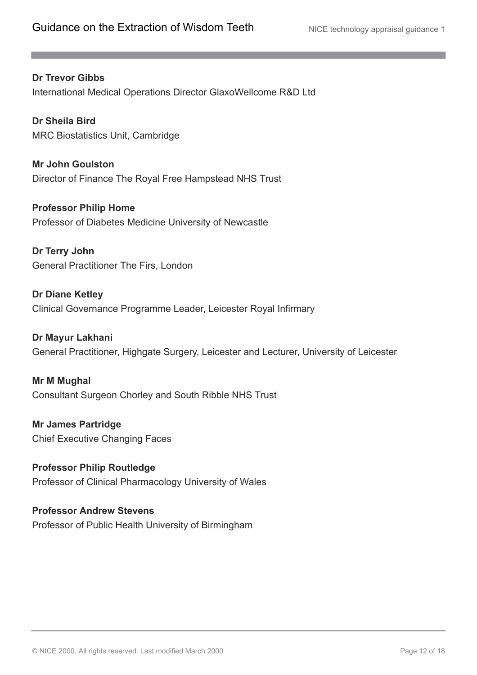**Dr Trevor Gibbs** International Medical Operations Director GlaxoWellcome R&D Ltd

**Dr Sheila Bird** MRC Biostatistics Unit, Cambridge

**Mr John Goulston** Director of Finance The Royal Free Hampstead NHS Trust

**Professor Philip Home** Professor of Diabetes Medicine University of Newcastle

**Dr Terry John** General Practitioner The Firs, London

**Dr Diane Ketley** Clinical Governance Programme Leader, Leicester Royal Infirmary

**Dr Mayur Lakhani** General Practitioner, Highgate Surgery, Leicester and Lecturer, University of Leicester

**Mr M Mughal** Consultant Surgeon Chorley and South Ribble NHS Trust

**Mr James Partridge** Chief Executive Changing Faces

**Professor Philip Routledge** Professor of Clinical Pharmacology University of Wales

**Professor Andrew Stevens** Professor of Public Health University of Birmingham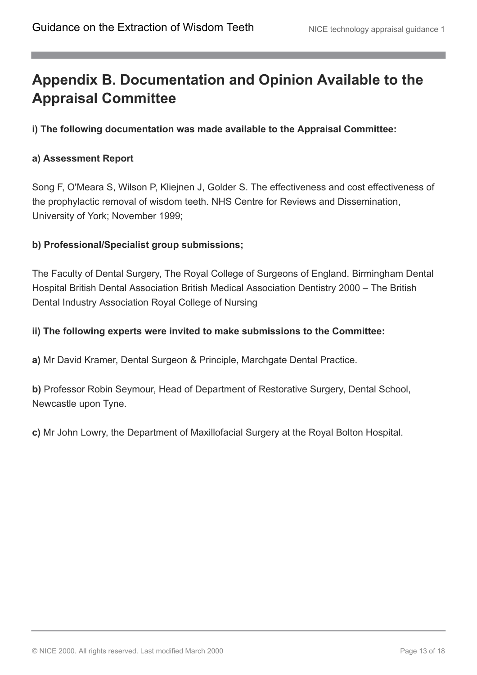# <span id="page-12-0"></span>**Appendix B. Documentation and Opinion Available to the Appraisal Committee**

**i) The following documentation was made available to the Appraisal Committee:**

#### **a) Assessment Report**

Song F, O'Meara S, Wilson P, Kliejnen J, Golder S. The effectiveness and cost effectiveness of the prophylactic removal of wisdom teeth. NHS Centre for Reviews and Dissemination, University of York; November 1999;

#### **b) Professional/Specialist group submissions;**

The Faculty of Dental Surgery, The Royal College of Surgeons of England. Birmingham Dental Hospital British Dental Association British Medical Association Dentistry 2000 – The British Dental Industry Association Royal College of Nursing

#### **ii) The following experts were invited to make submissions to the Committee:**

**a)** Mr David Kramer, Dental Surgeon & Principle, Marchgate Dental Practice.

**b)** Professor Robin Seymour, Head of Department of Restorative Surgery, Dental School, Newcastle upon Tyne.

**c)** Mr John Lowry, the Department of Maxillofacial Surgery at the Royal Bolton Hospital.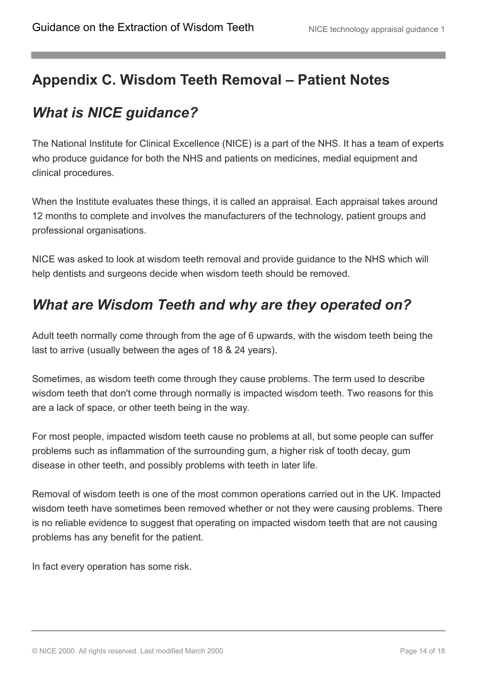# <span id="page-13-0"></span>**Appendix C. Wisdom Teeth Removal – Patient Notes**

# <span id="page-13-1"></span>*What is NICE guidance?*

The National Institute for Clinical Excellence (NICE) is a part of the NHS. It has a team of experts who produce guidance for both the NHS and patients on medicines, medial equipment and clinical procedures.

When the Institute evaluates these things, it is called an appraisal. Each appraisal takes around 12 months to complete and involves the manufacturers of the technology, patient groups and professional organisations.

NICE was asked to look at wisdom teeth removal and provide guidance to the NHS which will help dentists and surgeons decide when wisdom teeth should be removed.

# <span id="page-13-2"></span>*What are Wisdom Teeth and why are they operated on?*

Adult teeth normally come through from the age of 6 upwards, with the wisdom teeth being the last to arrive (usually between the ages of 18 & 24 years).

Sometimes, as wisdom teeth come through they cause problems. The term used to describe wisdom teeth that don't come through normally is impacted wisdom teeth. Two reasons for this are a lack of space, or other teeth being in the way.

For most people, impacted wisdom teeth cause no problems at all, but some people can suffer problems such as inflammation of the surrounding gum, a higher risk of tooth decay, gum disease in other teeth, and possibly problems with teeth in later life.

Removal of wisdom teeth is one of the most common operations carried out in the UK. Impacted wisdom teeth have sometimes been removed whether or not they were causing problems. There is no reliable evidence to suggest that operating on impacted wisdom teeth that are not causing problems has any benefit for the patient.

In fact every operation has some risk.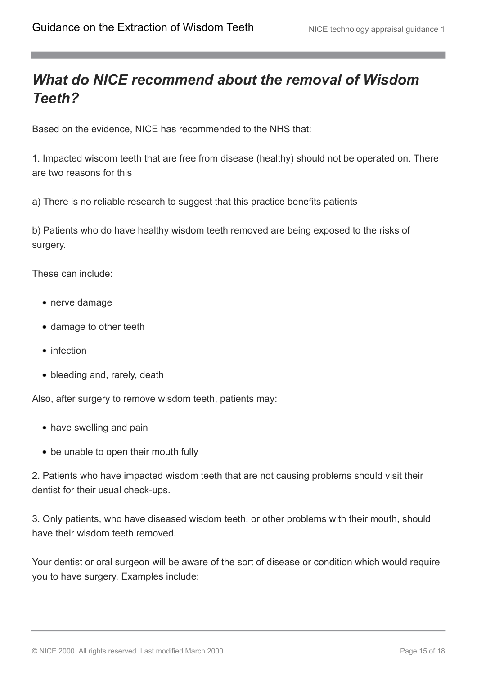### <span id="page-14-0"></span>*What do NICE recommend about the removal of Wisdom Teeth?*

Based on the evidence, NICE has recommended to the NHS that:

1. Impacted wisdom teeth that are free from disease (healthy) should not be operated on. There are two reasons for this

a) There is no reliable research to suggest that this practice benefits patients

b) Patients who do have healthy wisdom teeth removed are being exposed to the risks of surgery.

These can include:

- nerve damage
- damage to other teeth
- infection
- bleeding and, rarely, death

Also, after surgery to remove wisdom teeth, patients may:

- have swelling and pain
- be unable to open their mouth fully

2. Patients who have impacted wisdom teeth that are not causing problems should visit their dentist for their usual check-ups.

3. Only patients, who have diseased wisdom teeth, or other problems with their mouth, should have their wisdom teeth removed.

Your dentist or oral surgeon will be aware of the sort of disease or condition which would require you to have surgery. Examples include: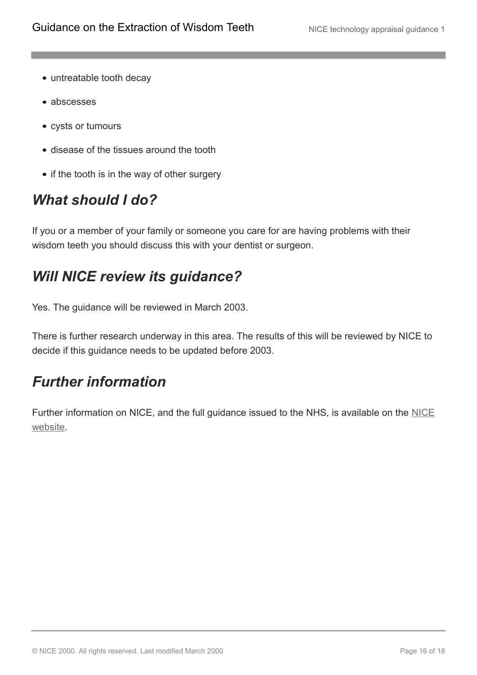- untreatable tooth decay
- abscesses
- cysts or tumours
- disease of the tissues around the tooth
- if the tooth is in the way of other surgery

# <span id="page-15-0"></span>*What should I do?*

If you or a member of your family or someone you care for are having problems with their wisdom teeth you should discuss this with your dentist or surgeon.

# <span id="page-15-1"></span>*Will NICE review its guidance?*

Yes. The guidance will be reviewed in March 2003.

There is further research underway in this area. The results of this will be reviewed by NICE to decide if this guidance needs to be updated before 2003.

# <span id="page-15-2"></span>*Further information*

Further information on [NICE](http://www.nice.org.uk/), and the full guidance issued to the NHS, is available on the NICE [website.](http://www.nice.org.uk/)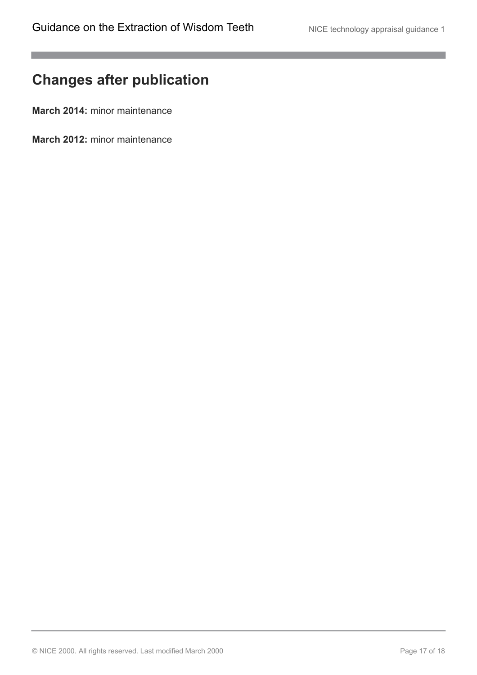m.

# <span id="page-16-0"></span>**Changes after publication**

**March 2014:** minor maintenance

**March 2012:** minor maintenance